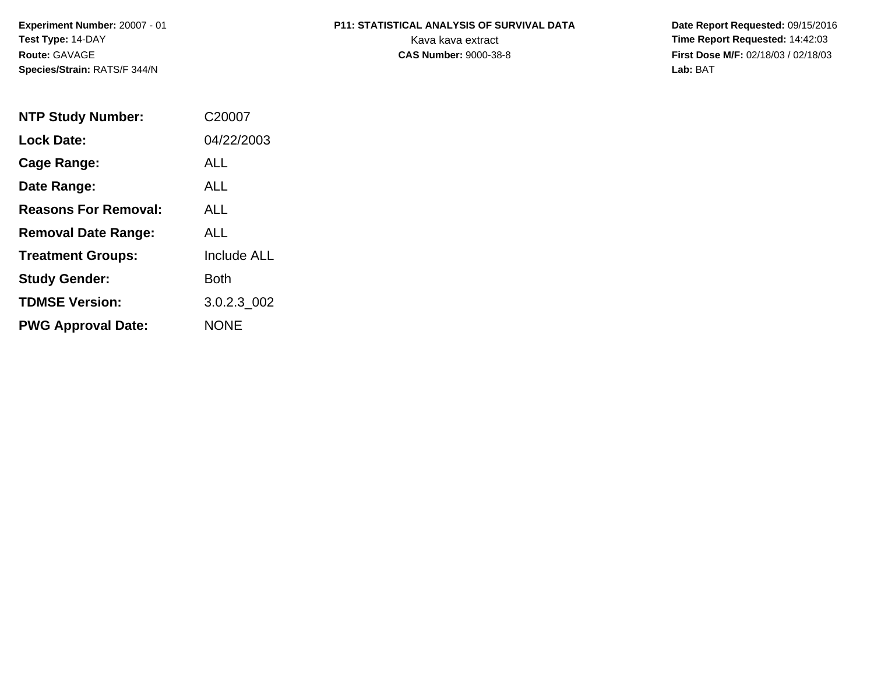# **P11: STATISTICAL ANALYSIS OF SURVIVAL DATA**

 **Date Report Requested:** 09/15/2016 Kava kava extract **Time Report Requested:** 14:42:03 **First Dose M/F:** 02/18/03 / 02/18/03<br>Lab: BAT **Lab:** BAT

| <b>NTP Study Number:</b>    | C <sub>2000</sub> 7 |
|-----------------------------|---------------------|
| <b>Lock Date:</b>           | 04/22/2003          |
| Cage Range:                 | ALL                 |
| Date Range:                 | ALL                 |
| <b>Reasons For Removal:</b> | AI I                |
| <b>Removal Date Range:</b>  | ALL                 |
| <b>Treatment Groups:</b>    | <b>Include ALL</b>  |
| <b>Study Gender:</b>        | Both                |
| <b>TDMSE Version:</b>       | 3.0.2.3 002         |
| <b>PWG Approval Date:</b>   | <b>NONE</b>         |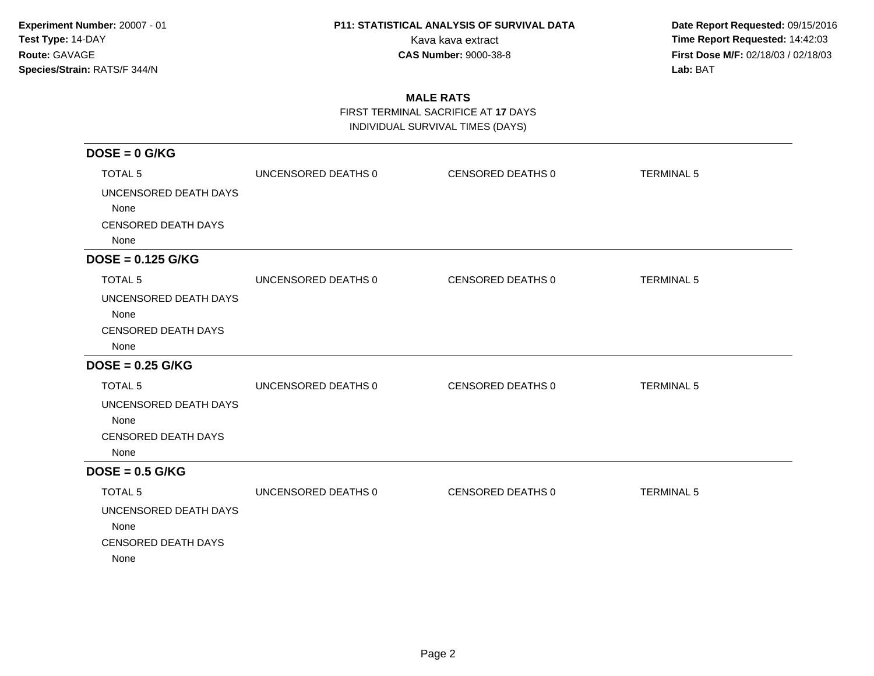**Date Report Requested:** 09/15/2016 Kava kava extract **Time Report Requested:** 14:42:03 **First Dose M/F:** 02/18/03 / 02/18/03<br>Lab: BAT **Lab:** BAT

### **MALE RATS**

FIRST TERMINAL SACRIFICE AT **17** DAYS

INDIVIDUAL SURVIVAL TIMES (DAYS)

| $DOSE = 0$ G/KG            |                     |                   |                   |
|----------------------------|---------------------|-------------------|-------------------|
| <b>TOTAL 5</b>             | UNCENSORED DEATHS 0 | CENSORED DEATHS 0 | <b>TERMINAL 5</b> |
| UNCENSORED DEATH DAYS      |                     |                   |                   |
| None                       |                     |                   |                   |
| <b>CENSORED DEATH DAYS</b> |                     |                   |                   |
| None                       |                     |                   |                   |
| $DOSE = 0.125$ G/KG        |                     |                   |                   |
| <b>TOTAL 5</b>             | UNCENSORED DEATHS 0 | CENSORED DEATHS 0 | <b>TERMINAL 5</b> |
| UNCENSORED DEATH DAYS      |                     |                   |                   |
| None                       |                     |                   |                   |
| <b>CENSORED DEATH DAYS</b> |                     |                   |                   |
| None                       |                     |                   |                   |
| $DOSE = 0.25$ G/KG         |                     |                   |                   |
| <b>TOTAL 5</b>             | UNCENSORED DEATHS 0 | CENSORED DEATHS 0 | <b>TERMINAL 5</b> |
| UNCENSORED DEATH DAYS      |                     |                   |                   |
| None                       |                     |                   |                   |
| <b>CENSORED DEATH DAYS</b> |                     |                   |                   |
| None                       |                     |                   |                   |
| $DOSE = 0.5$ G/KG          |                     |                   |                   |
| <b>TOTAL 5</b>             | UNCENSORED DEATHS 0 | CENSORED DEATHS 0 | <b>TERMINAL 5</b> |
| UNCENSORED DEATH DAYS      |                     |                   |                   |
| None                       |                     |                   |                   |
| <b>CENSORED DEATH DAYS</b> |                     |                   |                   |
| None                       |                     |                   |                   |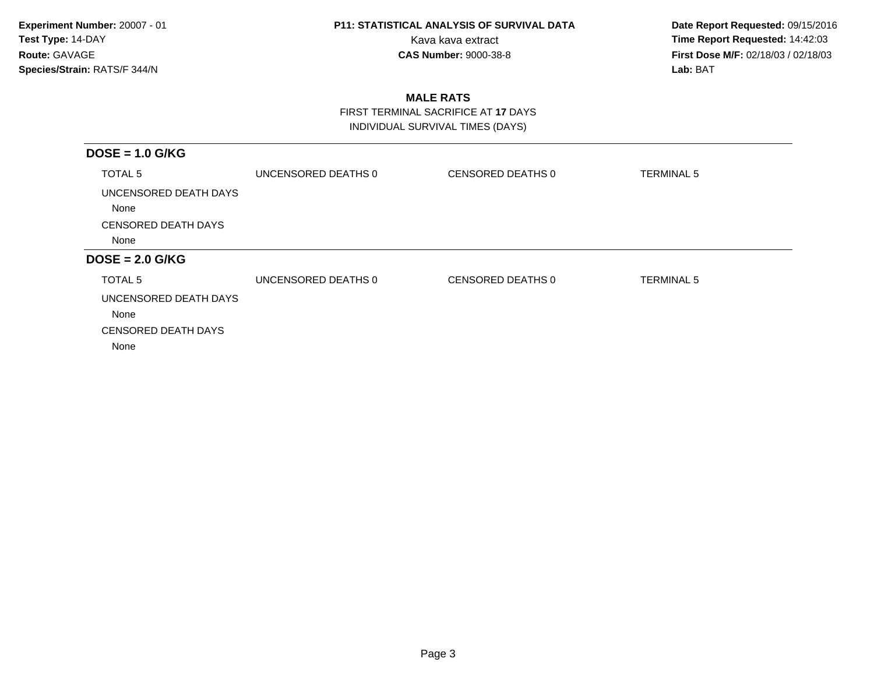**Date Report Requested:** 09/15/2016 Kava kava extract **Time Report Requested:** 14:42:03 **First Dose M/F:** 02/18/03 / 02/18/03<br>Lab: BAT **Lab:** BAT

### **MALE RATS**

 FIRST TERMINAL SACRIFICE AT **17** DAYSINDIVIDUAL SURVIVAL TIMES (DAYS)

| $DOSE = 1.0$ G/KG                  |                     |                   |                   |
|------------------------------------|---------------------|-------------------|-------------------|
| TOTAL <sub>5</sub>                 | UNCENSORED DEATHS 0 | CENSORED DEATHS 0 | <b>TERMINAL 5</b> |
| UNCENSORED DEATH DAYS<br>None      |                     |                   |                   |
| <b>CENSORED DEATH DAYS</b>         |                     |                   |                   |
| None                               |                     |                   |                   |
| $DOSE = 2.0$ G/KG                  |                     |                   |                   |
| TOTAL 5                            | UNCENSORED DEATHS 0 | CENSORED DEATHS 0 | <b>TERMINAL 5</b> |
| UNCENSORED DEATH DAYS              |                     |                   |                   |
|                                    |                     |                   |                   |
| None                               |                     |                   |                   |
| <b>CENSORED DEATH DAYS</b><br>None |                     |                   |                   |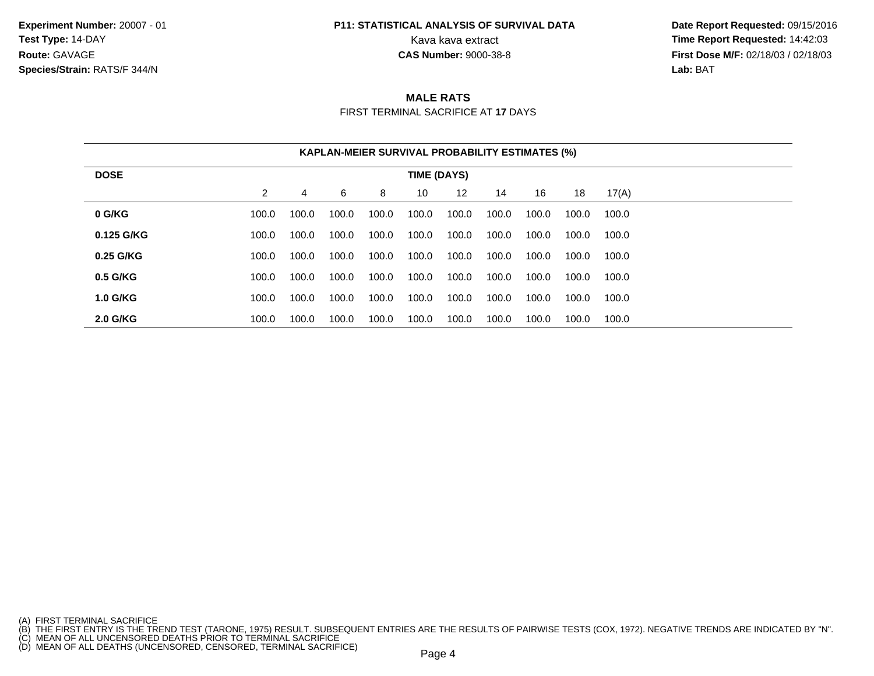### **P11: STATISTICAL ANALYSIS OF SURVIVAL DATA**

 **Date Report Requested:** 09/15/2016 Kava kava extract **Time Report Requested:** 14:42:03<br>**CAS Number:** 9000-38-8 **Time Report Requested:** 14:42:03 **First Dose M/F:** 02/18/03 / 02/18/03<br>**Lab:** BAT **Lab:** BAT

### **MALE RATS**

FIRST TERMINAL SACRIFICE AT **17** DAYS

|                 |                |       |       | <b>KAPLAN-MEIER SURVIVAL PROBABILITY ESTIMATES (%)</b> |             |       |       |       |       |       |  |
|-----------------|----------------|-------|-------|--------------------------------------------------------|-------------|-------|-------|-------|-------|-------|--|
| <b>DOSE</b>     |                |       |       |                                                        | TIME (DAYS) |       |       |       |       |       |  |
|                 | $\overline{2}$ | 4     | 6     | 8                                                      | 10          | 12    | 14    | 16    | 18    | 17(A) |  |
| 0 G/KG          | 100.0          | 100.0 | 100.0 | 100.0                                                  | 100.0       | 100.0 | 100.0 | 100.0 | 100.0 | 100.0 |  |
| 0.125 G/KG      | 100.0          | 100.0 | 100.0 | 100.0                                                  | 100.0       | 100.0 | 100.0 | 100.0 | 100.0 | 100.0 |  |
| 0.25 G/KG       | 100.0          | 100.0 | 100.0 | 100.0                                                  | 100.0       | 100.0 | 100.0 | 100.0 | 100.0 | 100.0 |  |
| 0.5 G/KG        | 100.0          | 100.0 | 100.0 | 100.0                                                  | 100.0       | 100.0 | 100.0 | 100.0 | 100.0 | 100.0 |  |
| <b>1.0 G/KG</b> | 100.0          | 100.0 | 100.0 | 100.0                                                  | 100.0       | 100.0 | 100.0 | 100.0 | 100.0 | 100.0 |  |
| <b>2.0 G/KG</b> | 100.0          | 100.0 | 100.0 | 100.0                                                  | 100.0       | 100.0 | 100.0 | 100.0 | 100.0 | 100.0 |  |

<sup>(</sup>A) FIRST TERMINAL SACRIFICE<br>(B) THE FIRST ENTRY IS THE TREND TEST (TARONE, 1975) RESULT. SUBSEQUENT ENTRIES ARE THE RESULTS OF PAIRWISE TESTS (COX, 1972). NEGATIVE TRENDS ARE INDICATED BY "N".<br>(C) MEAN OF ALL UNCENSORED D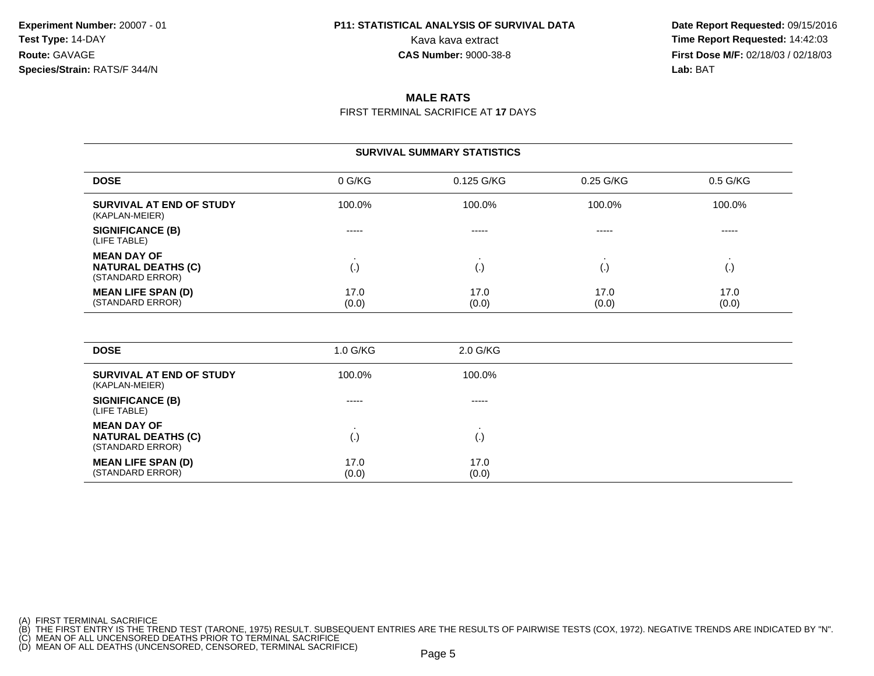#### **P11: STATISTICAL ANALYSIS OF SURVIVAL DATA**

 **Date Report Requested:** 09/15/2016 Kava kava extract **Time Report Requested:** 14:42:03<br>**CAS Number:** 9000-38-8 **Time Report Requested:** 14:42:03 **First Dose M/F:** 02/18/03 / 02/18/03<br>**Lab:** BAT **Lab:** BAT

#### **MALE RATS**

FIRST TERMINAL SACRIFICE AT **17** DAYS

#### **SURVIVAL SUMMARY STATISTICSDOSE**E O G/KG 0.125 G/KG 0.25 G/KG 0.5 G/KG **SURVIVAL AT END OF STUDY** 100.0%% 100.0% 100.0% 100.0% 100.0% 100.0% (KAPLAN-MEIER)**SIGNIFICANCE (B)** ----- ----- ----- ----- (LIFE TABLE)**MEAN DAY OF** . . . . **NATURAL DEATHS (C)** (.) (.) (.) (.) (STANDARD ERROR)**MEAN LIFE SPAN (D)** 17.00 17.0 17.0 17.0 17.0 (STANDARD ERROR) (0.0) $(0.0)$   $(0.0)$   $(0.0)$   $(0.0)$

| <b>DOSE</b>                                                         | $1.0$ G/KG    | 2.0 G/KG           |
|---------------------------------------------------------------------|---------------|--------------------|
| SURVIVAL AT END OF STUDY<br>(KAPLAN-MEIER)                          | 100.0%        | 100.0%             |
| <b>SIGNIFICANCE (B)</b><br>(LIFE TABLE)                             | -----         | -----              |
| <b>MEAN DAY OF</b><br><b>NATURAL DEATHS (C)</b><br>(STANDARD ERROR) | (.)           | $\left( . \right)$ |
| <b>MEAN LIFE SPAN (D)</b><br>(STANDARD ERROR)                       | 17.0<br>(0.0) | 17.0<br>(0.0)      |

(A) FIRST TERMINAL SACRIFICE

<sup>(</sup>B) THE FIRST ENTRY IS THE TREND TEST (TARONE, 1975) RESULT. SUBSEQUENT ENTRIES ARE THE RESULTS OF PAIRWISE TESTS (COX, 1972). NEGATIVE TRENDS ARE INDICATED BY "N".<br>(C) MEAN OF ALL UNCENSORED DEATHS PRIOR TO TERMINAL SACRI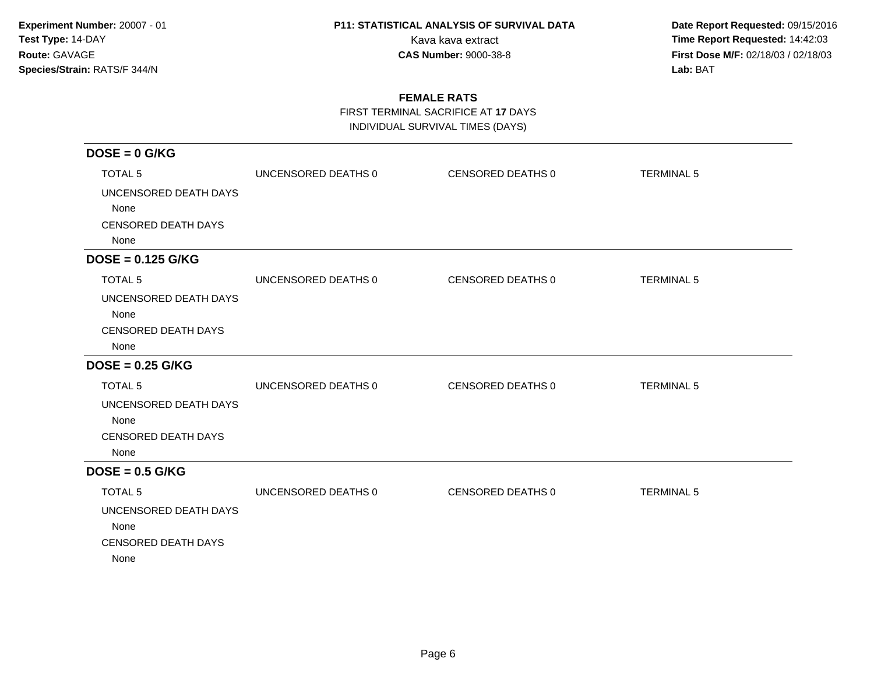**Date Report Requested:** 09/15/2016 Kava kava extract **Time Report Requested:** 14:42:03 **First Dose M/F:** 02/18/03 / 02/18/03<br>Lab: BAT **Lab:** BAT

### **FEMALE RATS**

FIRST TERMINAL SACRIFICE AT **17** DAYS

INDIVIDUAL SURVIVAL TIMES (DAYS)

| $DOSE = 0$ G/KG            |                     |                   |                   |
|----------------------------|---------------------|-------------------|-------------------|
| <b>TOTAL 5</b>             | UNCENSORED DEATHS 0 | CENSORED DEATHS 0 | <b>TERMINAL 5</b> |
| UNCENSORED DEATH DAYS      |                     |                   |                   |
| None                       |                     |                   |                   |
| <b>CENSORED DEATH DAYS</b> |                     |                   |                   |
| None                       |                     |                   |                   |
| $DOSE = 0.125$ G/KG        |                     |                   |                   |
| TOTAL <sub>5</sub>         | UNCENSORED DEATHS 0 | CENSORED DEATHS 0 | <b>TERMINAL 5</b> |
| UNCENSORED DEATH DAYS      |                     |                   |                   |
| None                       |                     |                   |                   |
| <b>CENSORED DEATH DAYS</b> |                     |                   |                   |
| None                       |                     |                   |                   |
| $DOSE = 0.25$ G/KG         |                     |                   |                   |
| <b>TOTAL 5</b>             | UNCENSORED DEATHS 0 | CENSORED DEATHS 0 | <b>TERMINAL 5</b> |
| UNCENSORED DEATH DAYS      |                     |                   |                   |
| None                       |                     |                   |                   |
| <b>CENSORED DEATH DAYS</b> |                     |                   |                   |
| None                       |                     |                   |                   |
| $DOSE = 0.5$ G/KG          |                     |                   |                   |
| <b>TOTAL 5</b>             | UNCENSORED DEATHS 0 | CENSORED DEATHS 0 | <b>TERMINAL 5</b> |
| UNCENSORED DEATH DAYS      |                     |                   |                   |
| None                       |                     |                   |                   |
| <b>CENSORED DEATH DAYS</b> |                     |                   |                   |
| None                       |                     |                   |                   |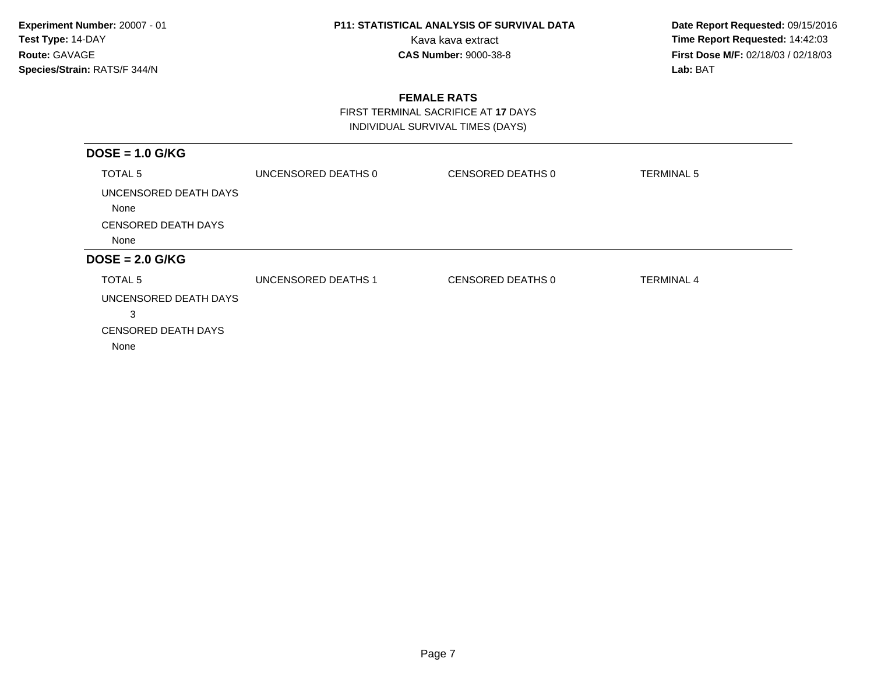**Date Report Requested:** 09/15/2016 Kava kava extract **Time Report Requested:** 14:42:03 **First Dose M/F:** 02/18/03 / 02/18/03<br>Lab: BAT **Lab:** BAT

### **FEMALE RATS**

 FIRST TERMINAL SACRIFICE AT **17** DAYSINDIVIDUAL SURVIVAL TIMES (DAYS)

| $DOSE = 1.0$ G/KG             |                            |                   |                   |
|-------------------------------|----------------------------|-------------------|-------------------|
| TOTAL <sub>5</sub>            | UNCENSORED DEATHS 0        | CENSORED DEATHS 0 | <b>TERMINAL 5</b> |
| UNCENSORED DEATH DAYS<br>None |                            |                   |                   |
| <b>CENSORED DEATH DAYS</b>    |                            |                   |                   |
| None                          |                            |                   |                   |
| $DOSE = 2.0$ G/KG             |                            |                   |                   |
| TOTAL <sub>5</sub>            | <b>UNCENSORED DEATHS 1</b> | CENSORED DEATHS 0 | <b>TERMINAL 4</b> |
| UNCENSORED DEATH DAYS         |                            |                   |                   |
| 3                             |                            |                   |                   |
| <b>CENSORED DEATH DAYS</b>    |                            |                   |                   |
| None                          |                            |                   |                   |
|                               |                            |                   |                   |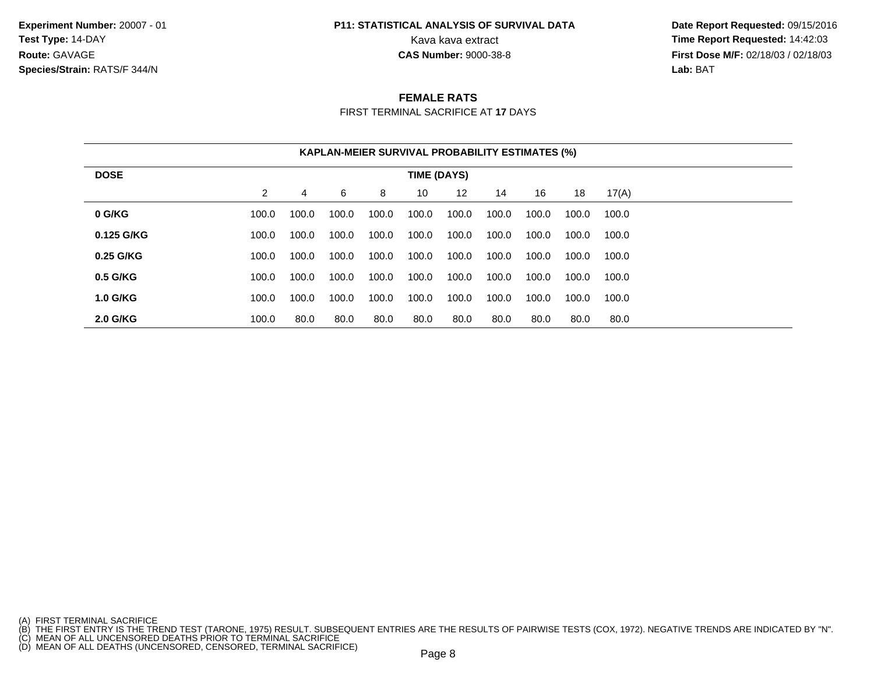### **P11: STATISTICAL ANALYSIS OF SURVIVAL DATA**

 **Date Report Requested:** 09/15/2016 Kava kava extract **Time Report Requested:** 14:42:03<br>**CAS Number:** 9000-38-8 **Time Report Requested:** 14:42:03 **First Dose M/F:** 02/18/03 / 02/18/03<br>**Lab:** BAT **Lab:** BAT

#### **FEMALE RATS**

FIRST TERMINAL SACRIFICE AT **17** DAYS

|                 |                |       |       |       | <b>KAPLAN-MEIER SURVIVAL PROBABILITY ESTIMATES (%)</b> |       |       |       |       |       |  |
|-----------------|----------------|-------|-------|-------|--------------------------------------------------------|-------|-------|-------|-------|-------|--|
| <b>DOSE</b>     |                |       |       |       | <b>TIME (DAYS)</b>                                     |       |       |       |       |       |  |
|                 | $\overline{2}$ | 4     | 6     | 8     | 10                                                     | 12    | 14    | 16    | 18    | 17(A) |  |
| 0 G/KG          | 100.0          | 100.0 | 100.0 | 100.0 | 100.0                                                  | 100.0 | 100.0 | 100.0 | 100.0 | 100.0 |  |
| 0.125 G/KG      | 100.0          | 100.0 | 100.0 | 100.0 | 100.0                                                  | 100.0 | 100.0 | 100.0 | 100.0 | 100.0 |  |
| 0.25 G/KG       | 100.0          | 100.0 | 100.0 | 100.0 | 100.0                                                  | 100.0 | 100.0 | 100.0 | 100.0 | 100.0 |  |
| 0.5 G/KG        | 100.0          | 100.0 | 100.0 | 100.0 | 100.0                                                  | 100.0 | 100.0 | 100.0 | 100.0 | 100.0 |  |
| <b>1.0 G/KG</b> | 100.0          | 100.0 | 100.0 | 100.0 | 100.0                                                  | 100.0 | 100.0 | 100.0 | 100.0 | 100.0 |  |
| 2.0 G/KG        | 100.0          | 80.0  | 80.0  | 80.0  | 80.0                                                   | 80.0  | 80.0  | 80.0  | 80.0  | 80.0  |  |

<sup>(</sup>A) FIRST TERMINAL SACRIFICE<br>(B) THE FIRST ENTRY IS THE TREND TEST (TARONE, 1975) RESULT. SUBSEQUENT ENTRIES ARE THE RESULTS OF PAIRWISE TESTS (COX, 1972). NEGATIVE TRENDS ARE INDICATED BY "N".<br>(C) MEAN OF ALL UNCENSORED D